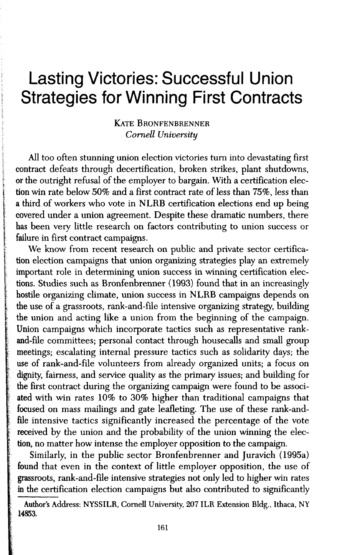# Lasting Victories: Successful Union **Strategies for Winning First Contracts**

## **KATE BRONFENBRENNER** *Cornell University*

*I* All too often stunning union election victories turn into devastating first ; contract defeats through decertification, broken strikes, plant shutdowns, or the outright refusal of the employer to bargain. With a certification election win rate below 50% and a first contract rate of less than 75%, less than a third of workers who vote in NLRB certification elections end up being covered under a union agreement. Despite these dramatic numbers, there has been very little research on factors contributing to union success or failure in first contract campaigns.

We know from recent research on public and private sector certification election campaigns that union organizing strategies play an extremely important role in determining union success in winning certification elections. Studies such as Bronfenbrenner (1993) found that in an increasingly hostile organizing climate, union success in NLRB campaigns depends on the use of a grassroots, rank-and-file intensive organizing strategy, building the union and acting like a union from the beginning of the campaign. Union campaigns which incorporate tactics such as representative rankand-file committees; personal contact through housecalls and small group meetings; escalating internal pressure tactics such as solidarity days; the use of rank-and-file volunteers from already organized units; a focus on dignity, fairness, and service quality as the primary issues; and building for the first contract during the organizing campaign were found to be associ ated with win rates 10% to 30% higher than traditional campaigns that focused on mass mailings and gate leafleting. The use of these rank-and file intensive tactics significantly increased the percentage of the vote received by the union and the probability of the union winning the elec-*•* tion, no matter how intense the employer opposition to the campaign.

*Similarly*, in the public sector Bronfenbrenner and Juravich (1995a) found that even in the context of little employer opposition, the use of grassroots, rank-and-file intensive strategies not only led to higher win rates in the certification election campaigns but also contributed to significantly

**b I** 

*<sup>\</sup>* Author's Address: NYSSILR, Cornell University, 207ILR Extension Bldg., Ithaca, NY *i* 14853.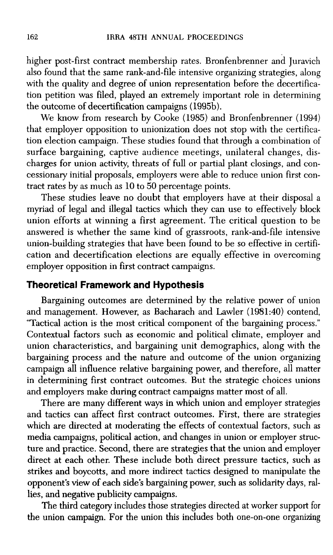higher post-first contract membership rates. Bronfenbrenner and Juravich also found that the same rank-and-file intensive organizing strategies, along with the quality and degree of union representation before the decertification petition was filed, played an extremely important role in determining the outcome of decertification campaigns (1995b).

We know from research by Cooke (1985) and Bronfenbrenner (1994) that employer opposition to unionization does not stop with the certification election campaign. These studies found that through a combination of surface bargaining, captive audience meetings, unilateral changes, discharges for union activity, threats of full or partial plant closings, and concessionary initial proposals, employers were able to reduce union first contract rates by as much as 10 to 50 percentage points.

These studies leave no doubt that employers have at their disposal a myriad of legal and illegal tactics which they can use to effectively block union efforts at winning a first agreement. The critical question to be answered is whether the same kind of grassroots, rank-and-file intensive union-building strategies that have been found to be so effective in certification and decertification elections are equally effective in overcoming employer opposition in first contract campaigns.

# **Theoretical Framework and Hypothesis**

Bargaining outcomes are determined by the relative power of union and management. However, as Bacharach and Lawler (1981:40) contend, "Tactical action is the most critical component of the bargaining process." Contextual factors such as economic and political climate, employer and union characteristics, and bargaining unit demographics, along with the bargaining process and the nature and outcome of the union organizing campaign all influence relative bargaining power, and therefore, all matter in determining first contract outcomes. But the strategic choices unions and employers make during contract campaigns matter most of all.

There are many different ways in which union and employer strategies and tactics can affect first contract outcomes. First, there are strategies which are directed at moderating the effects of contextual factors, such as media campaigns, political action, and changes in union or employer structure and practice. Second, there are strategies that the union and employer direct at each other. These include both direct pressure tactics, such as strikes and boycotts, and more indirect tactics designed to manipulate the opponent's view of each side's bargaining power, such as solidarity days, rallies, and negative publicity campaigns.

The third category includes those strategies directed at worker support for the union campaign. For the union this includes both one-on-one organizing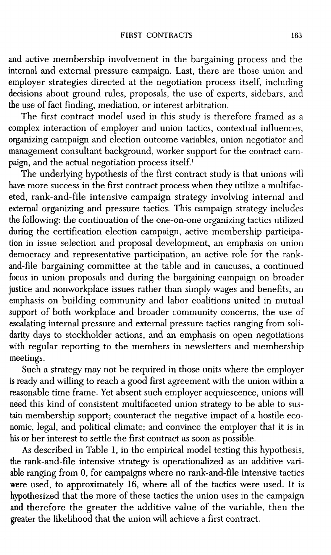and active membership involvement in the bargaining process and the internal and external pressure campaign. Last, there are those union and employer strategies directed at the negotiation process itself, including decisions about ground rules, proposals, the use of experts, sidebars, and the use of fact finding, mediation, or interest arbitration.

The first contract model used in this study is therefore framed as a complex interaction of employer and union tactics, contextual influences, organizing campaign and election outcome variables, union negotiator and management consultant background, worker support for the contract campaign, and the actual negotiation process itself.<sup>1</sup>

The underlying hypothesis of the first contract study is that unions will have more success in the first contract process when they utilize a multifaceted, rank-and-file intensive campaign strategy involving internal and external organizing and pressure tactics. This campaign strategy includes the following: the continuation of the one-on-one organizing tactics utilized during the certification election campaign, active membership participation in issue selection and proposal development, an emphasis on union democracy and representative participation, an active role for the rankand-file bargaining committee at the table and in caucuses, a continued focus in union proposals and during the bargaining campaign on broader justice and nonworkplace issues rather than simply wages and benefits, an emphasis on building community and labor coalitions united in mutual support of both workplace and broader community concerns, the use of escalating internal pressure and external pressure tactics ranging from solidarity days to stockholder actions, and an emphasis on open negotiations with regular reporting to the members in newsletters and membership meetings.

Such a strategy may not be required in those units where the employer is ready and willing to reach a good first agreement with the union within a reasonable time frame. Yet absent such employer acquiescence, unions will need this kind of consistent multifaceted union strategy to be able to sustain membership support; counteract the negative impact of a hostile economic, legal, and political climate; and convince the employer that it is in his or her interest to settle the first contract as soon as possible.

As described in Table 1, in the empirical model testing this hypothesis, the rank-and-file intensive strategy is operationalized as an additive variable ranging from 0, for campaigns where no rank-and-file intensive tactics were used, to approximately 16, where all of the tactics were used. It is hypothesized that the more of these tactics the union uses in the campaign and therefore the greater the additive value of the variable, then the greater the likelihood that the union will achieve a first contract.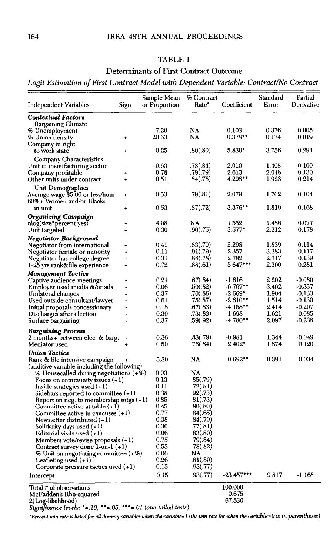# TABLE 1

# Determinants of First Contract Outcome

# *Logit Estimation of First Contract Model with Dependent Variable: Contract/No Contract*

| Independent Variables                       | Sign        | Sample Mean<br>or Proportion | % Contract<br>Rate* | Coefficient   | Standard<br>Error | Partial<br>Derivative |
|---------------------------------------------|-------------|------------------------------|---------------------|---------------|-------------------|-----------------------|
| <b>Contextual Factors</b>                   |             |                              |                     |               |                   |                       |
| Bargaining Climate                          |             |                              |                     |               |                   |                       |
| % Unemployment                              |             | 7.20                         | NA                  | $-0.103$      | 0.376             | $-0.005$              |
| % Union density                             | ÷           | 20.63                        | NA                  | 0.378         | 0.174             | 0.019                 |
| Company in right                            |             |                              |                     |               |                   |                       |
| to work state                               |             | 0.25                         | .80(.80)            | 5.839°        | 3.756             | 0.291                 |
| Company Characteristics                     |             |                              |                     |               |                   |                       |
| Unit in manufacturing sector                |             | 0.63                         | .78(.84)            | 2.010         | 1.408             | 0.100                 |
| Company profitable                          | ÷           | 0.78                         | .79(.79)            | 2.613         | 2.048             | 0.130                 |
| Other units under contract                  | $\ddotmark$ | 0.51                         | .84(.76)            | 4.298         | 1.928             | 0.214                 |
| Unit Demographics                           |             |                              |                     |               |                   |                       |
| Average wage \$5.00 or less/hour            | $\ddot{}$   | 0.53                         | .79(.81)            | 2.079         | 1.762             | 0.104                 |
| 60%+ Women and/or Blacks                    |             |                              |                     |               |                   |                       |
| in unit                                     |             | 0.53                         | .87(.72)            | 3.376**       | 1.819             | 0.168                 |
| Organizing Campaign                         |             |                              |                     |               |                   |                       |
| nlog(size*percent yes)                      |             | 4.08                         | NA                  | 1.552         | 1.486             | 0.077                 |
| Unit targeted                               | ÷           | 0.30                         | .90(.75)            | $3.577$ *     | 2.212             | 0.178                 |
| Negotiator Background                       |             |                              |                     |               |                   |                       |
| Negotiator from international               | ÷           | 0.41                         | .83(.79)            | 2.298         | 1.839             | 0.114                 |
| Negotiator female or minority               | +           | 0.11                         | .91(.79)            | 2.357         | 3.383             | 0.117                 |
| Negotiator has college degree               | $\ddot{}$   | 0.31                         | .84(.78)            | 2.782         | 2.317             | 0.139                 |
| 1-25 yrs rank&file experience               | ÷           | 0.72                         | .88(.61)            | 5.647         | 2.300             | 0.281                 |
| <b>Management Tactics</b>                   |             |                              |                     |               |                   |                       |
| Captive audience meetings                   |             | 0.21                         | .67(.84)            | $-1.616$      | 2.202             | $-0.080$              |
| Employer used media &/or ads                |             | 0.06                         | .50(.82)            | $-6.767$ **   | 3.402             | -0.337                |
| Unilateral changes                          |             | 0.37                         | .70(.86)            | $-2.669$      | 1.904             | $-0.133$              |
| Used outside consultant/lawyer              |             | 0.61                         | .75(.87)            | $-2.610$      | 1.514             | -0.130                |
| Initial proposals concessionary             |             | 0.18                         | .67(.83)            | $-4.158$ **   | 2.414             | $-0.207$              |
| Discharges after election                   |             | 0.30                         | .73(.83)            | 1.698         | 1.621             | 0.085                 |
| Surtace bargaining                          |             | 0.37                         | .59(.92)            | -4.780°°      | 2.097             | $-0.238$              |
| Bargaining Process                          |             |                              |                     |               |                   |                       |
| 2 months+ between elec. & barg.             |             | 0.36                         | .83(.79)            | -0.981        | 1.344             | -0.049                |
| Mediator used                               |             | 0.50                         | .76(.84)            | 2.402°        | 1.874             | 0.120                 |
| <b>Union Tactics</b>                        |             |                              |                     |               |                   |                       |
| Rank & file intensive campaign              |             | 5.30                         | NA                  | $0.692$ **    | 0.391             | 0.034                 |
| (additive variable including the following) |             |                              |                     |               |                   |                       |
| $\%$ Housecalled during negotiations (+%)   |             | 0.03                         | NA                  |               |                   |                       |
| Focus on community issues $(+1)$            |             | 0.13                         | .85(.79)            |               |                   |                       |
| Inside strategies used $(+1)$               |             | 0.11                         | .72(.81)            |               |                   |                       |
| Sidebars reported to committee (+1)         |             | 0.38                         | .92(.73)            |               |                   |                       |
| Report on neg. to membership mtgs $(+1)$    |             | 0.85                         | .81(.73)            |               |                   |                       |
| Committee active at table (+1)              |             | 0.45                         | .80(.80)            |               |                   |                       |
| Committee active in caucuses $(+1)$         |             | 0.77                         | .84(.65)            |               |                   |                       |
| Newsletter distributed (+1)                 |             | 0.38                         | .84(.70)            |               |                   |                       |
| Solidarity days used $(+1)$                 |             | 0.30                         | .77(.81)            |               |                   |                       |
| Editorial visits used $(+1)$                |             | 0.06                         | .83(.80)            |               |                   |                       |
| Members vote/revise proposals $(+1)$        |             | 0.75                         | .79(.84)            |               |                   |                       |
| Contract survey done $1$ -on- $1 (+1)$      |             | 0.55                         | .78(.82)            |               |                   |                       |
| % Unit on negotiating committee (+%)        |             | 0.06<br>0.26                 | NA                  |               |                   |                       |
| Leafleting used $(+1)$                      |             | 0.15                         | .81(.80)            |               |                   |                       |
| Corporate pressure tactics used (+1)        |             |                              | .93(.77)            |               |                   |                       |
| Intercept                                   |             | 0.15                         | .93(.77)            | $-23.457$ *** | 9.817             | $-1.168$              |
| Total # of observations                     |             |                              |                     | 100.000       |                   |                       |
| McFadden's Rho-squared                      |             |                              |                     | 0.675         |                   |                       |

2(Log-likelihood) 67.530 *Significance levels: '=.10,* "=.05, *"'=.01 (one-tailed tests)* 

*'Percent win rate is listed for all dummy variables when the variable=l (the win rate for when the variable=0 is in parentheses)*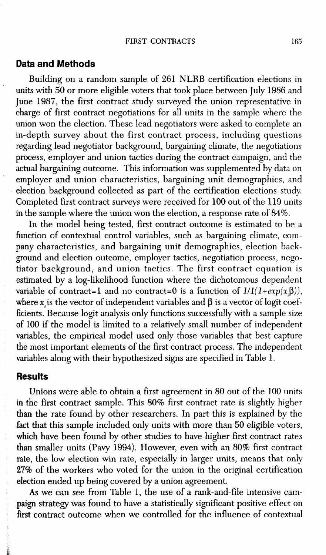#### **Data and Methods**

Building on a random sample of 261 NLRB certification elections in units with 50 or more eligible voters that took place between July 1986 and June 1987, the first contract study surveyed the union representative in charge of first contract negotiations for all units in the sample where the union won the election. These lead negotiators were asked to complete an in-depth survey about the first contract process, including questions regarding lead negotiator background, bargaining climate, the negotiations process, employer and union tactics during the contract campaign, and the actual bargaining outcome. This information was supplemented by data on employer and union characteristics, bargaining unit demographics, and election background collected as part of the certification elections study. Completed first contract surveys were received for 100 out of the 119 units in the sample where the union won the election, a response rate of 84%.

In the model being tested, first contract outcome is estimated to be a function of contextual control variables, such as bargaining climate, company characteristics, and bargaining unit demographics, election background and election outcome, employer tactics, negotiation process, nego- $\frac{1}{x}$  tiator background, and union tactics. The first contract equation is estimated by a log-likelihood function where the dichotomous dependent variable of contract=1 and no contract=0 is a function of  $1/(1+exp(x_i\beta))$ , where  $x_i$  is the vector of independent variables and  $\beta$  is a vector of logit coefficients. Because logit analysis only functions successfully with a sample size of 100 if the model is limited to a relatively small number of independent variables, the empirical model used only those variables that best capture the most important elements of the first contract process. The independent variables along with their hypothesized signs are specified in Table 1.

# **Results**

Unions were able to obtain a first agreement in 80 out of the 100 units in the first contract sample. This 80% first contract rate is slightly higher than the rate found by other researchers. In part this is explained by the fact that this sample included only units with more than 50 eligible voters, which have been found by other studies to have higher first contract rates than smaller units (Pavy 1994). However, even with an 80% first contract rate, the low election win rate, especially in larger units, means that only 27% of the workers who voted for the union in the original certification election ended up being covered by a union agreement.

As we can see from Table 1, the use of a rank-and-file intensive campaign strategy was found to have a statistically significant positive effect on first contract outcome when we controlled for the influence of contextual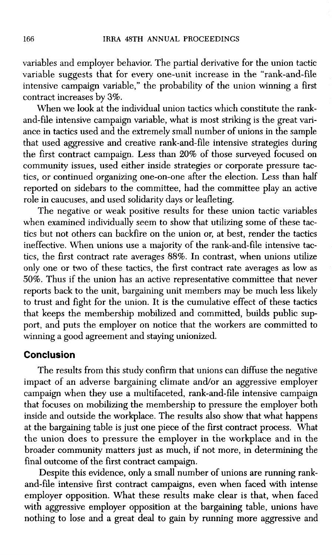variables and employer behavior. The partial derivative for the union tactic variable suggests that for every one-unit increase in the "rank-and-file intensive campaign variable," the probability of the union winning a first contract increases by 3%.

When we look at the individual union tactics which constitute the rankand-file intensive campaign variable, what is most striking is the great variance in tactics used and the extremely small number of unions in the sample that used aggressive and creative rank-and-file intensive strategies during the first contract campaign. Less than 20% of those surveyed focused on community issues, used either inside strategies or corporate pressure tactics, or continued organizing one-on-one after the election. Less than half reported on sidebars to the committee, had the committee play an active role in caucuses, and used solidarity days or leafleting.

The negative or weak positive results for these union tactic variables when examined individually seem to show that utilizing some of these tactics but not others can backfire on the union or, at best, render the tactics ineffective. When unions use a majority of the rank-and-file intensive tactics, the first contract rate averages 88%. In contrast, when unions utilize only one or two of these tactics, the first contract rate averages as low as 50%. Thus if the union has an active representative committee that never reports back to the unit, bargaining unit members may be much less likely to trust and fight for the union. It is the cumulative effect of these tactics that keeps the membership mobilized and committed, builds public support, and puts the employer on notice that the workers are committed to winning a good agreement and staying unionized.

# **Conclusion**

The results from this study confirm that unions can diffuse the negative impact of an adverse bargaining climate and/or an aggressive employer campaign when they use a multifaceted, rank-and-file intensive campaign that focuses on mobilizing the membership to pressure the employer both inside and outside the workplace. The results also show that what happens at the bargaining table is just one piece of the first contract process. What the union does to pressure the employer in the workplace and in the broader community matters just as much, if not more, in determining the final outcome of the first contract campaign.

Despite this evidence, only a small number of unions are running rankand-file intensive first contract campaigns, even when faced with intense employer opposition. What these results make clear is that, when faced with aggressive employer opposition at the bargaining table, unions have nothing to lose and a great deal to gain by running more aggressive and